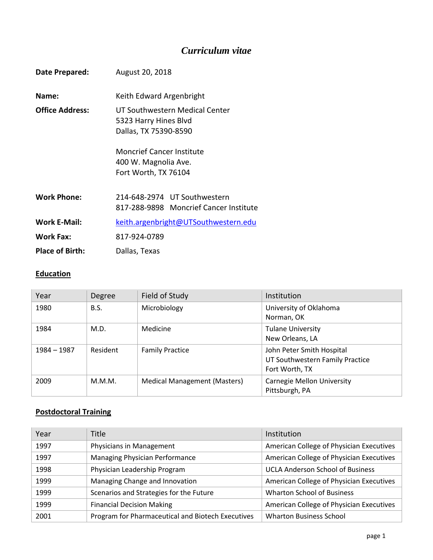# *Curriculum vitae*

| Date Prepared:         | August 20, 2018                                                                  |  |
|------------------------|----------------------------------------------------------------------------------|--|
| Name:                  | Keith Edward Argenbright                                                         |  |
| <b>Office Address:</b> | UT Southwestern Medical Center<br>5323 Harry Hines Blvd<br>Dallas, TX 75390-8590 |  |
|                        | <b>Moncrief Cancer Institute</b><br>400 W. Magnolia Ave.<br>Fort Worth, TX 76104 |  |
| <b>Work Phone:</b>     | 214-648-2974 UT Southwestern<br>817-288-9898 Moncrief Cancer Institute           |  |
| <b>Work E-Mail:</b>    | keith.argenbright@UTSouthwestern.edu                                             |  |
| <b>Work Fax:</b>       | 817-924-0789                                                                     |  |
| <b>Place of Birth:</b> | Dallas, Texas                                                                    |  |

## **Education**

| Year        | Degree      | Field of Study                      | Institution                                                                    |
|-------------|-------------|-------------------------------------|--------------------------------------------------------------------------------|
| 1980        | <b>B.S.</b> | Microbiology                        | University of Oklahoma<br>Norman, OK                                           |
| 1984        | M.D.        | Medicine                            | <b>Tulane University</b><br>New Orleans, LA                                    |
| 1984 – 1987 | Resident    | <b>Family Practice</b>              | John Peter Smith Hospital<br>UT Southwestern Family Practice<br>Fort Worth, TX |
| 2009        | M.M.M.      | <b>Medical Management (Masters)</b> | <b>Carnegie Mellon University</b><br>Pittsburgh, PA                            |

## **Postdoctoral Training**

| Year | Title                                             | Institution                              |
|------|---------------------------------------------------|------------------------------------------|
| 1997 | Physicians in Management                          | American College of Physician Executives |
| 1997 | <b>Managing Physician Performance</b>             | American College of Physician Executives |
| 1998 | Physician Leadership Program                      | <b>UCLA Anderson School of Business</b>  |
| 1999 | Managing Change and Innovation                    | American College of Physician Executives |
| 1999 | Scenarios and Strategies for the Future           | <b>Wharton School of Business</b>        |
| 1999 | <b>Financial Decision Making</b>                  | American College of Physician Executives |
| 2001 | Program for Pharmaceutical and Biotech Executives | <b>Wharton Business School</b>           |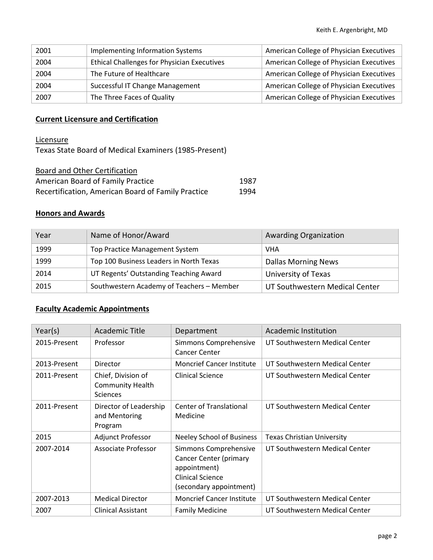| 2001 | Implementing Information Systems                   | American College of Physician Executives |
|------|----------------------------------------------------|------------------------------------------|
| 2004 | <b>Ethical Challenges for Physician Executives</b> | American College of Physician Executives |
| 2004 | The Future of Healthcare                           | American College of Physician Executives |
| 2004 | Successful IT Change Management                    | American College of Physician Executives |
| 2007 | The Three Faces of Quality                         | American College of Physician Executives |

### **Current Licensure and Certification**

**Licensure** 

Texas State Board of Medical Examiners (1985-Present)

| Board and Other Certification                      |      |
|----------------------------------------------------|------|
| American Board of Family Practice                  | 1987 |
| Recertification, American Board of Family Practice | 1994 |

#### **Honors and Awards**

| Year | Name of Honor/Award                       | <b>Awarding Organization</b>   |
|------|-------------------------------------------|--------------------------------|
| 1999 | Top Practice Management System            | <b>VHA</b>                     |
| 1999 | Top 100 Business Leaders in North Texas   | <b>Dallas Morning News</b>     |
| 2014 | UT Regents' Outstanding Teaching Award    | University of Texas            |
| 2015 | Southwestern Academy of Teachers - Member | UT Southwestern Medical Center |

### **Faculty Academic Appointments**

| Year(s)      | <b>Academic Title</b>                                            | Department                                                                                                                   | <b>Academic Institution</b>       |
|--------------|------------------------------------------------------------------|------------------------------------------------------------------------------------------------------------------------------|-----------------------------------|
| 2015-Present | Professor                                                        | Simmons Comprehensive<br>Cancer Center                                                                                       | UT Southwestern Medical Center    |
| 2013-Present | Director                                                         | <b>Moncrief Cancer Institute</b>                                                                                             | UT Southwestern Medical Center    |
| 2011-Present | Chief, Division of<br><b>Community Health</b><br><b>Sciences</b> | <b>Clinical Science</b>                                                                                                      | UT Southwestern Medical Center    |
| 2011-Present | Director of Leadership<br>and Mentoring<br>Program               | <b>Center of Translational</b><br>Medicine                                                                                   | UT Southwestern Medical Center    |
| 2015         | Adjunct Professor                                                | <b>Neeley School of Business</b>                                                                                             | <b>Texas Christian University</b> |
| 2007-2014    | Associate Professor                                              | Simmons Comprehensive<br><b>Cancer Center (primary</b><br>appointment)<br><b>Clinical Science</b><br>(secondary appointment) | UT Southwestern Medical Center    |
| 2007-2013    | <b>Medical Director</b>                                          | <b>Moncrief Cancer Institute</b>                                                                                             | UT Southwestern Medical Center    |
| 2007         | <b>Clinical Assistant</b>                                        | <b>Family Medicine</b>                                                                                                       | UT Southwestern Medical Center    |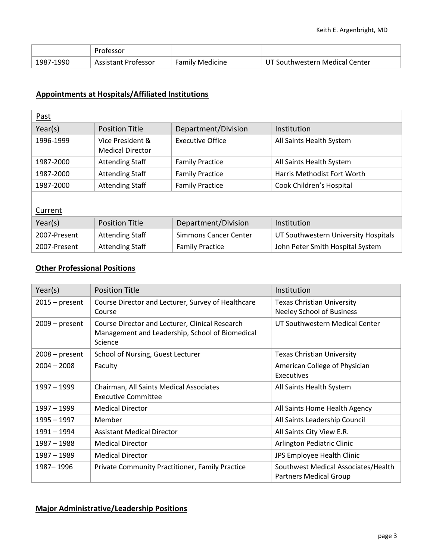|           | Professor           |                        |                                |
|-----------|---------------------|------------------------|--------------------------------|
| 1987-1990 | Assistant Professor | <b>Family Medicine</b> | UT Southwestern Medical Center |

### **Appointments at Hospitals/Affiliated Institutions**

| Past         |                                             |                              |                                      |
|--------------|---------------------------------------------|------------------------------|--------------------------------------|
| Year(s)      | <b>Position Title</b>                       | Department/Division          | Institution                          |
| 1996-1999    | Vice President &<br><b>Medical Director</b> | <b>Executive Office</b>      | All Saints Health System             |
| 1987-2000    | <b>Attending Staff</b>                      | <b>Family Practice</b>       | All Saints Health System             |
| 1987-2000    | <b>Attending Staff</b>                      | <b>Family Practice</b>       | Harris Methodist Fort Worth          |
| 1987-2000    | <b>Attending Staff</b>                      | <b>Family Practice</b>       | Cook Children's Hospital             |
|              |                                             |                              |                                      |
| Current      |                                             |                              |                                      |
| Year(s)      | <b>Position Title</b>                       | Department/Division          | Institution                          |
| 2007-Present | <b>Attending Staff</b>                      | <b>Simmons Cancer Center</b> | UT Southwestern University Hospitals |
| 2007-Present | <b>Attending Staff</b>                      | <b>Family Practice</b>       | John Peter Smith Hospital System     |

#### **Other Professional Positions**

| Year(s)          | <b>Position Title</b>                                                                                         | Institution                                                          |
|------------------|---------------------------------------------------------------------------------------------------------------|----------------------------------------------------------------------|
| $2015 - present$ | Course Director and Lecturer, Survey of Healthcare<br>Course                                                  | Texas Christian University<br><b>Neeley School of Business</b>       |
| $2009$ – present | Course Director and Lecturer, Clinical Research<br>Management and Leadership, School of Biomedical<br>Science | UT Southwestern Medical Center                                       |
| $2008 - present$ | School of Nursing, Guest Lecturer                                                                             | <b>Texas Christian University</b>                                    |
| $2004 - 2008$    | Faculty                                                                                                       | American College of Physician<br>Executives                          |
| 1997 - 1999      | Chairman, All Saints Medical Associates<br><b>Executive Committee</b>                                         | All Saints Health System                                             |
| 1997 – 1999      | <b>Medical Director</b>                                                                                       | All Saints Home Health Agency                                        |
| $1995 - 1997$    | Member                                                                                                        | All Saints Leadership Council                                        |
| 1991 - 1994      | <b>Assistant Medical Director</b>                                                                             | All Saints City View E.R.                                            |
| $1987 - 1988$    | <b>Medical Director</b>                                                                                       | Arlington Pediatric Clinic                                           |
| 1987 - 1989      | <b>Medical Director</b>                                                                                       | JPS Employee Health Clinic                                           |
| 1987 - 1996      | Private Community Practitioner, Family Practice                                                               | Southwest Medical Associates/Health<br><b>Partners Medical Group</b> |

#### **Major Administrative/Leadership Positions**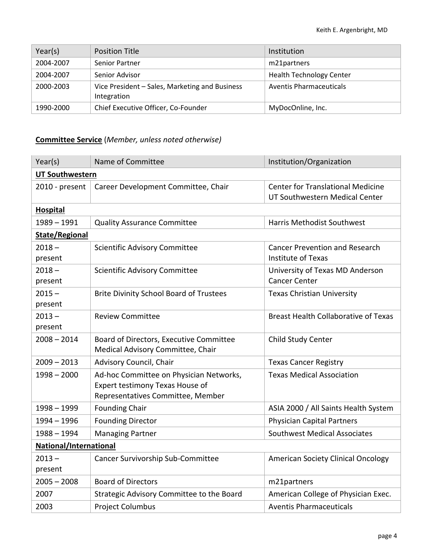| Year(s)   | <b>Position Title</b>                                         | Institution                     |
|-----------|---------------------------------------------------------------|---------------------------------|
| 2004-2007 | <b>Senior Partner</b>                                         | m21partners                     |
| 2004-2007 | Senior Advisor                                                | <b>Health Technology Center</b> |
| 2000-2003 | Vice President - Sales, Marketing and Business<br>Integration | Aventis Pharmaceuticals         |
| 1990-2000 | Chief Executive Officer, Co-Founder                           | MyDocOnline, Inc.               |

## **Committee Service** (*Member, unless noted otherwise)*

| Year(s)                | Name of Committee                                                                                               | Institution/Organization                                                   |  |
|------------------------|-----------------------------------------------------------------------------------------------------------------|----------------------------------------------------------------------------|--|
| <b>UT Southwestern</b> |                                                                                                                 |                                                                            |  |
| 2010 - present         | Career Development Committee, Chair                                                                             | <b>Center for Translational Medicine</b><br>UT Southwestern Medical Center |  |
| <b>Hospital</b>        |                                                                                                                 |                                                                            |  |
| $1989 - 1991$          | <b>Quality Assurance Committee</b>                                                                              | <b>Harris Methodist Southwest</b>                                          |  |
| <b>State/Regional</b>  |                                                                                                                 |                                                                            |  |
| $2018 -$<br>present    | Scientific Advisory Committee                                                                                   | <b>Cancer Prevention and Research</b><br><b>Institute of Texas</b>         |  |
| $2018 -$<br>present    | Scientific Advisory Committee                                                                                   | University of Texas MD Anderson<br><b>Cancer Center</b>                    |  |
| $2015 -$<br>present    | <b>Brite Divinity School Board of Trustees</b>                                                                  | <b>Texas Christian University</b>                                          |  |
| $2013 -$<br>present    | <b>Review Committee</b>                                                                                         | <b>Breast Health Collaborative of Texas</b>                                |  |
| $2008 - 2014$          | Board of Directors, Executive Committee<br>Medical Advisory Committee, Chair                                    | Child Study Center                                                         |  |
| $2009 - 2013$          | Advisory Council, Chair                                                                                         | <b>Texas Cancer Registry</b>                                               |  |
| $1998 - 2000$          | Ad-hoc Committee on Physician Networks,<br>Expert testimony Texas House of<br>Representatives Committee, Member | <b>Texas Medical Association</b>                                           |  |
| $1998 - 1999$          | <b>Founding Chair</b>                                                                                           | ASIA 2000 / All Saints Health System                                       |  |
| 1994 - 1996            | <b>Founding Director</b>                                                                                        | <b>Physician Capital Partners</b>                                          |  |
| $1988 - 1994$          | <b>Managing Partner</b>                                                                                         | <b>Southwest Medical Associates</b>                                        |  |
| National/International |                                                                                                                 |                                                                            |  |
| $2013 -$<br>present    | Cancer Survivorship Sub-Committee                                                                               | <b>American Society Clinical Oncology</b>                                  |  |
| $2005 - 2008$          | <b>Board of Directors</b>                                                                                       | m21partners                                                                |  |
| 2007                   | Strategic Advisory Committee to the Board                                                                       | American College of Physician Exec.                                        |  |
| 2003                   | <b>Project Columbus</b>                                                                                         | <b>Aventis Pharmaceuticals</b>                                             |  |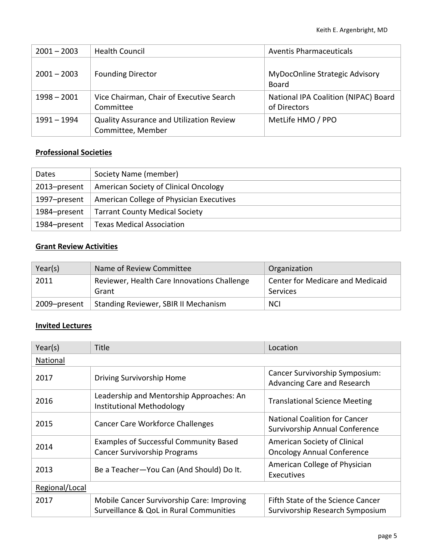| $2001 - 2003$ | <b>Health Council</b>                                                | Aventis Pharmaceuticals                                     |
|---------------|----------------------------------------------------------------------|-------------------------------------------------------------|
| $2001 - 2003$ | <b>Founding Director</b>                                             | <b>MyDocOnline Strategic Advisory</b><br>Board              |
| $1998 - 2001$ | Vice Chairman, Chair of Executive Search<br>Committee                | <b>National IPA Coalition (NIPAC) Board</b><br>of Directors |
| 1991 - 1994   | <b>Quality Assurance and Utilization Review</b><br>Committee, Member | MetLife HMO / PPO                                           |

### **Professional Societies**

| Dates        | Society Name (member)                    |
|--------------|------------------------------------------|
| 2013-present | American Society of Clinical Oncology    |
| 1997–present | American College of Physician Executives |
| 1984-present | <b>Tarrant County Medical Society</b>    |
| 1984-present | <b>Texas Medical Association</b>         |

## **Grant Review Activities**

| Year(s)      | Name of Review Committee                             | Organization                                        |
|--------------|------------------------------------------------------|-----------------------------------------------------|
| 2011         | Reviewer, Health Care Innovations Challenge<br>Grant | <b>Center for Medicare and Medicaid</b><br>Services |
| 2009-present | Standing Reviewer, SBIR II Mechanism                 | <b>NCI</b>                                          |

### **Invited Lectures**

| Year(s)        | Title                                                                                 | Location                                                               |
|----------------|---------------------------------------------------------------------------------------|------------------------------------------------------------------------|
| National       |                                                                                       |                                                                        |
| 2017           | Driving Survivorship Home                                                             | Cancer Survivorship Symposium:<br>Advancing Care and Research          |
| 2016           | Leadership and Mentorship Approaches: An<br>Institutional Methodology                 | <b>Translational Science Meeting</b>                                   |
| 2015           | <b>Cancer Care Workforce Challenges</b>                                               | <b>National Coalition for Cancer</b><br>Survivorship Annual Conference |
| 2014           | <b>Examples of Successful Community Based</b><br><b>Cancer Survivorship Programs</b>  | American Society of Clinical<br><b>Oncology Annual Conference</b>      |
| 2013           | Be a Teacher-You Can (And Should) Do It.                                              | American College of Physician<br>Executives                            |
| Regional/Local |                                                                                       |                                                                        |
| 2017           | Mobile Cancer Survivorship Care: Improving<br>Surveillance & QoL in Rural Communities | Fifth State of the Science Cancer<br>Survivorship Research Symposium   |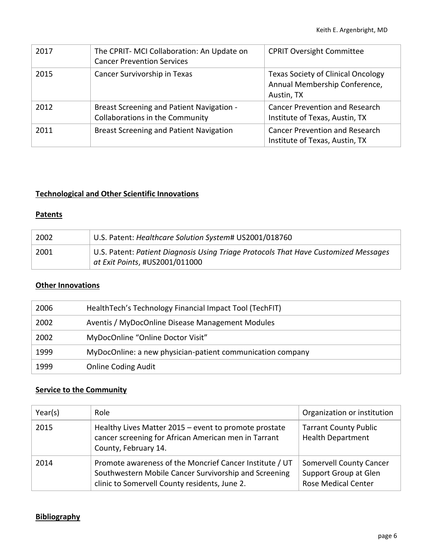| 2017 | The CPRIT-MCI Collaboration: An Update on<br><b>Cancer Prevention Services</b>      | <b>CPRIT Oversight Committee</b>                                                         |
|------|-------------------------------------------------------------------------------------|------------------------------------------------------------------------------------------|
| 2015 | Cancer Survivorship in Texas                                                        | <b>Texas Society of Clinical Oncology</b><br>Annual Membership Conference,<br>Austin, TX |
| 2012 | <b>Breast Screening and Patient Navigation -</b><br>Collaborations in the Community | <b>Cancer Prevention and Research</b><br>Institute of Texas, Austin, TX                  |
| 2011 | <b>Breast Screening and Patient Navigation</b>                                      | <b>Cancer Prevention and Research</b><br>Institute of Texas, Austin, TX                  |

### **Technological and Other Scientific Innovations**

#### **Patents**

| 2002 | U.S. Patent: Healthcare Solution System# US2001/018760                                                                |
|------|-----------------------------------------------------------------------------------------------------------------------|
| 2001 | U.S. Patent: Patient Diagnosis Using Triage Protocols That Have Customized Messages<br>at Exit Points, #US2001/011000 |

## **Other Innovations**

| 2006 | Health Tech's Technology Financial Impact Tool (TechFIT)   |
|------|------------------------------------------------------------|
| 2002 | Aventis / MyDocOnline Disease Management Modules           |
| 2002 | MyDocOnline "Online Doctor Visit"                          |
| 1999 | MyDocOnline: a new physician-patient communication company |
| 1999 | <b>Online Coding Audit</b>                                 |

### **Service to the Community**

| Year(s) | Role                                                                                                                                                              | Organization or institution                                                           |
|---------|-------------------------------------------------------------------------------------------------------------------------------------------------------------------|---------------------------------------------------------------------------------------|
| 2015    | Healthy Lives Matter 2015 – event to promote prostate<br>cancer screening for African American men in Tarrant<br>County, February 14.                             | <b>Tarrant County Public</b><br><b>Health Department</b>                              |
| 2014    | Promote awareness of the Moncrief Cancer Institute / UT<br>Southwestern Mobile Cancer Survivorship and Screening<br>clinic to Somervell County residents, June 2. | <b>Somervell County Cancer</b><br>Support Group at Glen<br><b>Rose Medical Center</b> |

### **Bibliography**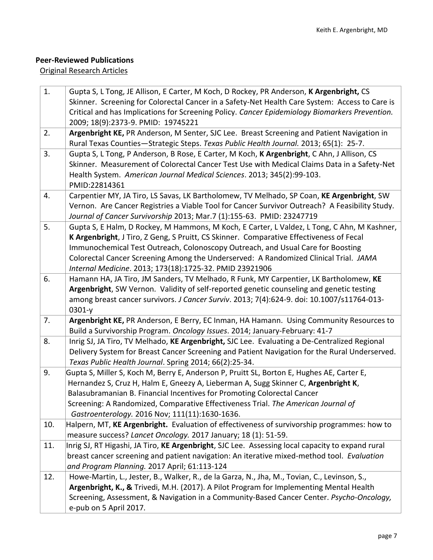## **Peer-Reviewed Publications**

### Original Research Articles

| 1.  | Gupta S, L Tong, JE Allison, E Carter, M Koch, D Rockey, PR Anderson, K Argenbright, CS                                                                              |
|-----|----------------------------------------------------------------------------------------------------------------------------------------------------------------------|
|     | Skinner. Screening for Colorectal Cancer in a Safety-Net Health Care System: Access to Care is                                                                       |
|     | Critical and has Implications for Screening Policy. Cancer Epidemiology Biomarkers Prevention.                                                                       |
|     | 2009; 18(9):2373-9. PMID: 19745221                                                                                                                                   |
| 2.  | Argenbright KE, PR Anderson, M Senter, SJC Lee. Breast Screening and Patient Navigation in                                                                           |
|     | Rural Texas Counties-Strategic Steps. Texas Public Health Journal. 2013; 65(1): 25-7.                                                                                |
| 3.  | Gupta S, L Tong, P Anderson, B Rose, E Carter, M Koch, K Argenbright, C Ahn, J Allison, CS                                                                           |
|     | Skinner. Measurement of Colorectal Cancer Test Use with Medical Claims Data in a Safety-Net                                                                          |
|     | Health System. American Journal Medical Sciences. 2013; 345(2):99-103.                                                                                               |
|     | PMID:22814361                                                                                                                                                        |
| 4.  | Carpentier MY, JA Tiro, LS Savas, LK Bartholomew, TV Melhado, SP Coan, KE Argenbright, SW                                                                            |
|     | Vernon. Are Cancer Registries a Viable Tool for Cancer Survivor Outreach? A Feasibility Study.                                                                       |
| 5.  | Journal of Cancer Survivorship 2013; Mar.7 (1):155-63. PMID: 23247719<br>Gupta S, E Halm, D Rockey, M Hammons, M Koch, E Carter, L Valdez, L Tong, C Ahn, M Kashner, |
|     | K Argenbright, J Tiro, Z Geng, S Pruitt, CS Skinner. Comparative Effectiveness of Fecal                                                                              |
|     | Immunochemical Test Outreach, Colonoscopy Outreach, and Usual Care for Boosting                                                                                      |
|     | Colorectal Cancer Screening Among the Underserved: A Randomized Clinical Trial. JAMA                                                                                 |
|     | Internal Medicine. 2013; 173(18):1725-32. PMID 23921906                                                                                                              |
| 6.  | Hamann HA, JA Tiro, JM Sanders, TV Melhado, R Funk, MY Carpentier, LK Bartholomew, KE                                                                                |
|     | Argenbright, SW Vernon. Validity of self-reported genetic counseling and genetic testing                                                                             |
|     | among breast cancer survivors. J Cancer Surviv. 2013; 7(4):624-9. doi: 10.1007/s11764-013-                                                                           |
|     | $0301-y$                                                                                                                                                             |
| 7.  | Argenbright KE, PR Anderson, E Berry, EC Inman, HA Hamann. Using Community Resources to                                                                              |
|     | Build a Survivorship Program. Oncology Issues. 2014; January-February: 41-7                                                                                          |
| 8.  | Inrig SJ, JA Tiro, TV Melhado, KE Argenbright, SJC Lee. Evaluating a De-Centralized Regional                                                                         |
|     | Delivery System for Breast Cancer Screening and Patient Navigation for the Rural Underserved.                                                                        |
|     | Texas Public Health Journal. Spring 2014; 66(2):25-34.                                                                                                               |
| 9.  | Gupta S, Miller S, Koch M, Berry E, Anderson P, Pruitt SL, Borton E, Hughes AE, Carter E,                                                                            |
|     | Hernandez S, Cruz H, Halm E, Gneezy A, Lieberman A, Sugg Skinner C, Argenbright K,                                                                                   |
|     | Balasubramanian B. Financial Incentives for Promoting Colorectal Cancer                                                                                              |
|     | Screening: A Randomized, Comparative Effectiveness Trial. The American Journal of                                                                                    |
| 10. | Gastroenterology. 2016 Nov; 111(11):1630-1636.<br>Halpern, MT, KE Argenbright. Evaluation of effectiveness of survivorship programmes: how to                        |
|     | measure success? Lancet Oncology. 2017 January; 18 (1): 51-59.                                                                                                       |
| 11. | Inrig SJ, RT Higashi, JA Tiro, KE Argenbright, SJC Lee. Assessing local capacity to expand rural                                                                     |
|     | breast cancer screening and patient navigation: An iterative mixed-method tool. Evaluation                                                                           |
|     | and Program Planning. 2017 April; 61:113-124                                                                                                                         |
| 12. | Howe-Martin, L., Jester, B., Walker, R., de la Garza, N., Jha, M., Tovian, C., Levinson, S.,                                                                         |
|     | Argenbright, K., & Trivedi, M.H. (2017). A Pilot Program for Implementing Mental Health                                                                              |
|     | Screening, Assessment, & Navigation in a Community-Based Cancer Center. Psycho-Oncology,                                                                             |
|     | e-pub on 5 April 2017.                                                                                                                                               |
|     |                                                                                                                                                                      |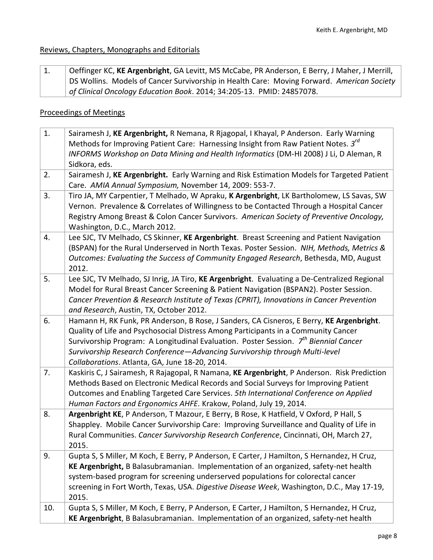## Reviews, Chapters, Monographs and Editorials

| LI. | Oeffinger KC, KE Argenbright, GA Levitt, MS McCabe, PR Anderson, E Berry, J Maher, J Merrill,     |
|-----|---------------------------------------------------------------------------------------------------|
|     | <b>DS Wollins. Models of Cancer Survivorship in Health Care: Moving Forward. American Society</b> |
|     | of Clinical Oncology Education Book. 2014; 34:205-13. PMID: 24857078.                             |

### Proceedings of Meetings

| 1.  | Sairamesh J, KE Argenbright, R Nemana, R Rjagopal, I Khayal, P Anderson. Early Warning<br>Methods for Improving Patient Care: Harnessing Insight from Raw Patient Notes. 3 <sup>rd</sup><br>INFORMS Workshop on Data Mining and Health Informatics (DM-HI 2008) J Li, D Aleman, R<br>Sidkora, eds.                                                                                                                  |
|-----|---------------------------------------------------------------------------------------------------------------------------------------------------------------------------------------------------------------------------------------------------------------------------------------------------------------------------------------------------------------------------------------------------------------------|
| 2.  | Sairamesh J, KE Argenbright. Early Warning and Risk Estimation Models for Targeted Patient<br>Care. AMIA Annual Symposium, November 14, 2009: 553-7.                                                                                                                                                                                                                                                                |
| 3.  | Tiro JA, MY Carpentier, T Melhado, W Apraku, K Argenbright, LK Bartholomew, LS Savas, SW<br>Vernon. Prevalence & Correlates of Willingness to be Contacted Through a Hospital Cancer<br>Registry Among Breast & Colon Cancer Survivors. American Society of Preventive Oncology,<br>Washington, D.C., March 2012.                                                                                                   |
| 4.  | Lee SJC, TV Melhado, CS Skinner, KE Argenbright. Breast Screening and Patient Navigation<br>(BSPAN) for the Rural Underserved in North Texas. Poster Session. NIH, Methods, Metrics &<br>Outcomes: Evaluating the Success of Community Engaged Research, Bethesda, MD, August<br>2012.                                                                                                                              |
| 5.  | Lee SJC, TV Melhado, SJ Inrig, JA Tiro, KE Argenbright. Evaluating a De-Centralized Regional<br>Model for Rural Breast Cancer Screening & Patient Navigation (BSPAN2). Poster Session.<br>Cancer Prevention & Research Institute of Texas (CPRIT), Innovations in Cancer Prevention<br>and Research, Austin, TX, October 2012.                                                                                      |
| 6.  | Hamann H, RK Funk, PR Anderson, B Rose, J Sanders, CA Cisneros, E Berry, KE Argenbright.<br>Quality of Life and Psychosocial Distress Among Participants in a Community Cancer<br>Survivorship Program: A Longitudinal Evaluation. Poster Session. 7 <sup>th</sup> Biennial Cancer<br>Survivorship Research Conference-Advancing Survivorship through Multi-level<br>Collaborations. Atlanta, GA, June 18-20, 2014. |
| 7.  | Kaskiris C, J Sairamesh, R Rajagopal, R Namana, KE Argenbright, P Anderson. Risk Prediction<br>Methods Based on Electronic Medical Records and Social Surveys for Improving Patient<br>Outcomes and Enabling Targeted Care Services. 5th International Conference on Applied<br>Human Factors and Ergonomics AHFE. Krakow, Poland, July 19, 2014.                                                                   |
| 8.  | Argenbright KE, P Anderson, T Mazour, E Berry, B Rose, K Hatfield, V Oxford, P Hall, S<br>Shappley. Mobile Cancer Survivorship Care: Improving Surveillance and Quality of Life in<br>Rural Communities. Cancer Survivorship Research Conference, Cincinnati, OH, March 27,<br>2015.                                                                                                                                |
| 9.  | Gupta S, S Miller, M Koch, E Berry, P Anderson, E Carter, J Hamilton, S Hernandez, H Cruz,<br>KE Argenbright, B Balasubramanian. Implementation of an organized, safety-net health<br>system-based program for screening underserved populations for colorectal cancer<br>screening in Fort Worth, Texas, USA. Digestive Disease Week, Washington, D.C., May 17-19,<br>2015.                                        |
| 10. | Gupta S, S Miller, M Koch, E Berry, P Anderson, E Carter, J Hamilton, S Hernandez, H Cruz,<br>KE Argenbright, B Balasubramanian. Implementation of an organized, safety-net health                                                                                                                                                                                                                                  |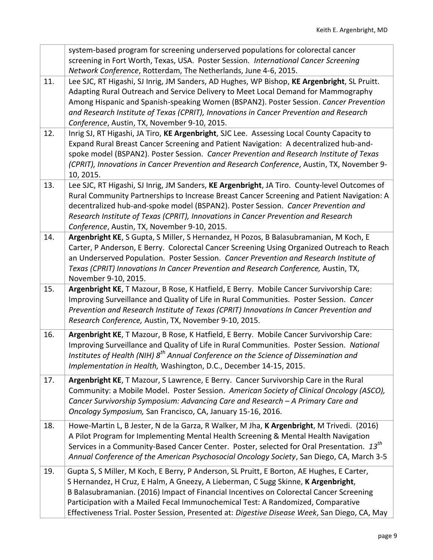|     | system-based program for screening underserved populations for colorectal cancer<br>screening in Fort Worth, Texas, USA. Poster Session. International Cancer Screening                                                                                                                                                                                                                                                                                        |
|-----|----------------------------------------------------------------------------------------------------------------------------------------------------------------------------------------------------------------------------------------------------------------------------------------------------------------------------------------------------------------------------------------------------------------------------------------------------------------|
|     | Network Conference, Rotterdam, The Netherlands, June 4-6, 2015.                                                                                                                                                                                                                                                                                                                                                                                                |
| 11. | Lee SJC, RT Higashi, SJ Inrig, JM Sanders, AD Hughes, WP Bishop, KE Argenbright, SL Pruitt.<br>Adapting Rural Outreach and Service Delivery to Meet Local Demand for Mammography<br>Among Hispanic and Spanish-speaking Women (BSPAN2). Poster Session. Cancer Prevention<br>and Research Institute of Texas (CPRIT), Innovations in Cancer Prevention and Research<br>Conference, Austin, TX, November 9-10, 2015.                                            |
| 12. | Inrig SJ, RT Higashi, JA Tiro, KE Argenbright, SJC Lee. Assessing Local County Capacity to<br>Expand Rural Breast Cancer Screening and Patient Navigation: A decentralized hub-and-<br>spoke model (BSPAN2). Poster Session. Cancer Prevention and Research Institute of Texas<br>(CPRIT), Innovations in Cancer Prevention and Research Conference, Austin, TX, November 9-<br>10, 2015.                                                                      |
| 13. | Lee SJC, RT Higashi, SJ Inrig, JM Sanders, KE Argenbright, JA Tiro. County-level Outcomes of<br>Rural Community Partnerships to Increase Breast Cancer Screening and Patient Navigation: A<br>decentralized hub-and-spoke model (BSPAN2). Poster Session. Cancer Prevention and<br>Research Institute of Texas (CPRIT), Innovations in Cancer Prevention and Research<br>Conference, Austin, TX, November 9-10, 2015.                                          |
| 14. | Argenbright KE, S Gupta, S Miller, S Hernandez, H Pozos, B Balasubramanian, M Koch, E<br>Carter, P Anderson, E Berry. Colorectal Cancer Screening Using Organized Outreach to Reach<br>an Underserved Population. Poster Session. Cancer Prevention and Research Institute of<br>Texas (CPRIT) Innovations In Cancer Prevention and Research Conference, Austin, TX,<br>November 9-10, 2015.                                                                   |
| 15. | Argenbright KE, T Mazour, B Rose, K Hatfield, E Berry. Mobile Cancer Survivorship Care:<br>Improving Surveillance and Quality of Life in Rural Communities. Poster Session. Cancer<br>Prevention and Research Institute of Texas (CPRIT) Innovations In Cancer Prevention and<br>Research Conference, Austin, TX, November 9-10, 2015.                                                                                                                         |
| 16. | Argenbright KE, T Mazour, B Rose, K Hatfield, E Berry. Mobile Cancer Survivorship Care:<br>Improving Surveillance and Quality of Life in Rural Communities. Poster Session. National<br>Institutes of Health (NIH) 8 <sup>th</sup> Annual Conference on the Science of Dissemination and<br>Implementation in Health, Washington, D.C., December 14-15, 2015.                                                                                                  |
| 17. | Argenbright KE, T Mazour, S Lawrence, E Berry. Cancer Survivorship Care in the Rural<br>Community: a Mobile Model. Poster Session. American Society of Clinical Oncology (ASCO),<br>Cancer Survivorship Symposium: Advancing Care and Research - A Primary Care and<br>Oncology Symposium, San Francisco, CA, January 15-16, 2016.                                                                                                                             |
| 18. | Howe-Martin L, B Jester, N de la Garza, R Walker, M Jha, K Argenbright, M Trivedi. (2016)<br>A Pilot Program for Implementing Mental Health Screening & Mental Health Navigation<br>Services in a Community-Based Cancer Center. Poster, selected for Oral Presentation. 13 <sup>th</sup><br>Annual Conference of the American Psychosocial Oncology Society, San Diego, CA, March 3-5                                                                         |
| 19. | Gupta S, S Miller, M Koch, E Berry, P Anderson, SL Pruitt, E Borton, AE Hughes, E Carter,<br>S Hernandez, H Cruz, E Halm, A Gneezy, A Lieberman, C Sugg Skinne, K Argenbright,<br>B Balasubramanian. (2016) Impact of Financial Incentives on Colorectal Cancer Screening<br>Participation with a Mailed Fecal Immunochemical Test: A Randomized, Comparative<br>Effectiveness Trial. Poster Session, Presented at: Digestive Disease Week, San Diego, CA, May |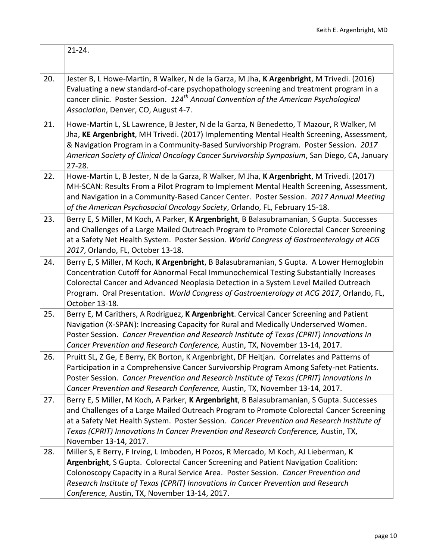|     | $21 - 24.$                                                                                                                                                                                                                                                                                                                                                                                              |
|-----|---------------------------------------------------------------------------------------------------------------------------------------------------------------------------------------------------------------------------------------------------------------------------------------------------------------------------------------------------------------------------------------------------------|
| 20. | Jester B, L Howe-Martin, R Walker, N de la Garza, M Jha, K Argenbright, M Trivedi. (2016)<br>Evaluating a new standard-of-care psychopathology screening and treatment program in a<br>cancer clinic. Poster Session. 124 <sup>th</sup> Annual Convention of the American Psychological<br>Association, Denver, CO, August 4-7.                                                                         |
| 21. | Howe-Martin L, SL Lawrence, B Jester, N de la Garza, N Benedetto, T Mazour, R Walker, M<br>Jha, KE Argenbright, MH Trivedi. (2017) Implementing Mental Health Screening, Assessment,<br>& Navigation Program in a Community-Based Survivorship Program. Poster Session. 2017<br>American Society of Clinical Oncology Cancer Survivorship Symposium, San Diego, CA, January<br>$27 - 28.$               |
| 22. | Howe-Martin L, B Jester, N de la Garza, R Walker, M Jha, K Argenbright, M Trivedi. (2017)<br>MH-SCAN: Results From a Pilot Program to Implement Mental Health Screening, Assessment,<br>and Navigation in a Community-Based Cancer Center. Poster Session. 2017 Annual Meeting<br>of the American Psychosocial Oncology Society, Orlando, FL, February 15-18.                                           |
| 23. | Berry E, S Miller, M Koch, A Parker, K Argenbright, B Balasubramanian, S Gupta. Successes<br>and Challenges of a Large Mailed Outreach Program to Promote Colorectal Cancer Screening<br>at a Safety Net Health System. Poster Session. World Congress of Gastroenterology at ACG<br>2017, Orlando, FL, October 13-18.                                                                                  |
| 24. | Berry E, S Miller, M Koch, K Argenbright, B Balasubramanian, S Gupta. A Lower Hemoglobin<br>Concentration Cutoff for Abnormal Fecal Immunochemical Testing Substantially Increases<br>Colorectal Cancer and Advanced Neoplasia Detection in a System Level Mailed Outreach<br>Program. Oral Presentation. World Congress of Gastroenterology at ACG 2017, Orlando, FL,<br>October 13-18.                |
| 25. | Berry E, M Carithers, A Rodriguez, K Argenbright. Cervical Cancer Screening and Patient<br>Navigation (X-SPAN): Increasing Capacity for Rural and Medically Underserved Women.<br>Poster Session. Cancer Prevention and Research Institute of Texas (CPRIT) Innovations In<br>Cancer Prevention and Research Conference, Austin, TX, November 13-14, 2017.                                              |
| 26. | Pruitt SL, Z Ge, E Berry, EK Borton, K Argenbright, DF Heitjan. Correlates and Patterns of<br>Participation in a Comprehensive Cancer Survivorship Program Among Safety-net Patients.<br>Poster Session. Cancer Prevention and Research Institute of Texas (CPRIT) Innovations In<br>Cancer Prevention and Research Conference, Austin, TX, November 13-14, 2017.                                       |
| 27. | Berry E, S Miller, M Koch, A Parker, K Argenbright, B Balasubramanian, S Gupta. Successes<br>and Challenges of a Large Mailed Outreach Program to Promote Colorectal Cancer Screening<br>at a Safety Net Health System. Poster Session. Cancer Prevention and Research Institute of<br>Texas (CPRIT) Innovations In Cancer Prevention and Research Conference, Austin, TX,<br>November 13-14, 2017.     |
| 28. | Miller S, E Berry, F Irving, L Imboden, H Pozos, R Mercado, M Koch, AJ Lieberman, K<br>Argenbright, S Gupta. Colorectal Cancer Screening and Patient Navigation Coalition:<br>Colonoscopy Capacity in a Rural Service Area. Poster Session. Cancer Prevention and<br>Research Institute of Texas (CPRIT) Innovations In Cancer Prevention and Research<br>Conference, Austin, TX, November 13-14, 2017. |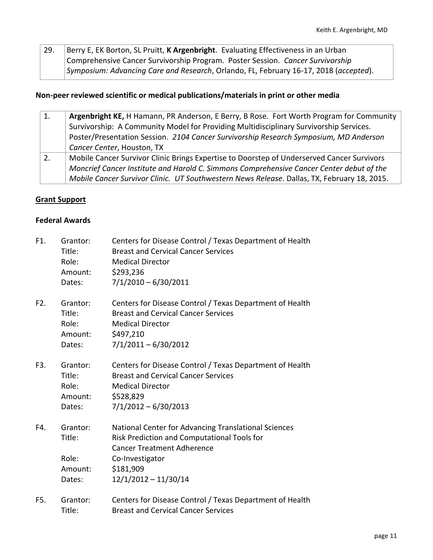29. Berry E, EK Borton, SL Pruitt, K Argenbright. Evaluating Effectiveness in an Urban Comprehensive Cancer Survivorship Program. Poster Session. *Cancer Survivorship Symposium: Advancing Care and Research*, Orlando, FL, February 16-17, 2018 (*accepted*).

#### **Non-peer reviewed scientific or medical publications/materials in print or other media**

| 1. | Argenbright KE, H Hamann, PR Anderson, E Berry, B Rose. Fort Worth Program for Community    |
|----|---------------------------------------------------------------------------------------------|
|    | Survivorship: A Community Model for Providing Multidisciplinary Survivorship Services.      |
|    | Poster/Presentation Session. 2104 Cancer Survivorship Research Symposium, MD Anderson       |
|    | Cancer Center, Houston, TX                                                                  |
| 2. | Mobile Cancer Survivor Clinic Brings Expertise to Doorstep of Underserved Cancer Survivors  |
|    | Moncrief Cancer Institute and Harold C. Simmons Comprehensive Cancer Center debut of the    |
|    | Mobile Cancer Survivor Clinic. UT Southwestern News Release. Dallas, TX, February 18, 2015. |

#### **Grant Support**

#### **Federal Awards**

| F1. | Grantor:<br>Title:<br>Role:<br>Amount:<br>Dates: | Centers for Disease Control / Texas Department of Health<br><b>Breast and Cervical Cancer Services</b><br><b>Medical Director</b><br>\$293,236<br>$7/1/2010 - 6/30/2011$                           |
|-----|--------------------------------------------------|----------------------------------------------------------------------------------------------------------------------------------------------------------------------------------------------------|
| F2. | Grantor:<br>Title:<br>Role:<br>Amount:<br>Dates: | Centers for Disease Control / Texas Department of Health<br><b>Breast and Cervical Cancer Services</b><br><b>Medical Director</b><br>\$497,210<br>$7/1/2011 - 6/30/2012$                           |
| F3. | Grantor:<br>Title:<br>Role:<br>Amount:<br>Dates: | Centers for Disease Control / Texas Department of Health<br><b>Breast and Cervical Cancer Services</b><br><b>Medical Director</b><br>\$528,829<br>$7/1/2012 - 6/30/2013$                           |
| F4. | Grantor:<br>Title:<br>Role:<br>Amount:<br>Dates: | National Center for Advancing Translational Sciences<br>Risk Prediction and Computational Tools for<br><b>Cancer Treatment Adherence</b><br>Co-Investigator<br>\$181,909<br>$12/1/2012 - 11/30/14$ |
| F5. | Grantor:<br>Title:                               | Centers for Disease Control / Texas Department of Health<br><b>Breast and Cervical Cancer Services</b>                                                                                             |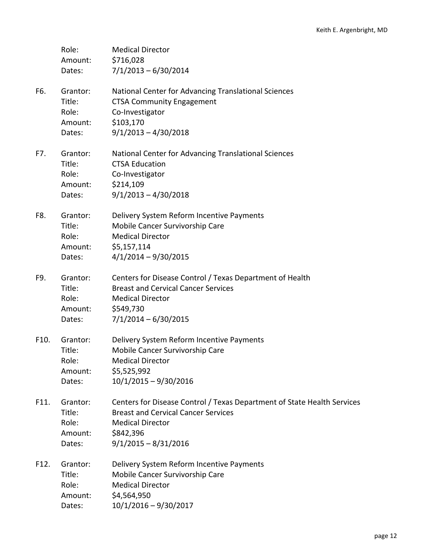|      | Role:<br>Amount:<br>Dates:                       | <b>Medical Director</b><br>\$716,028<br>$7/1/2013 - 6/30/2014$                                                                                                                          |
|------|--------------------------------------------------|-----------------------------------------------------------------------------------------------------------------------------------------------------------------------------------------|
| F6.  | Grantor:<br>Title:<br>Role:<br>Amount:<br>Dates: | National Center for Advancing Translational Sciences<br><b>CTSA Community Engagement</b><br>Co-Investigator<br>\$103,170<br>$9/1/2013 - 4/30/2018$                                      |
| F7.  | Grantor:<br>Title:<br>Role:<br>Amount:<br>Dates: | National Center for Advancing Translational Sciences<br><b>CTSA Education</b><br>Co-Investigator<br>\$214,109<br>$9/1/2013 - 4/30/2018$                                                 |
| F8.  | Grantor:<br>Title:<br>Role:<br>Amount:<br>Dates: | Delivery System Reform Incentive Payments<br>Mobile Cancer Survivorship Care<br><b>Medical Director</b><br>\$5,157,114<br>$4/1/2014 - 9/30/2015$                                        |
| F9.  | Grantor:<br>Title:<br>Role:<br>Amount:<br>Dates: | Centers for Disease Control / Texas Department of Health<br><b>Breast and Cervical Cancer Services</b><br><b>Medical Director</b><br>\$549,730<br>$7/1/2014 - 6/30/2015$                |
| F10. | Grantor:<br>Title:<br>Role:<br>Amount:<br>Dates: | Delivery System Reform Incentive Payments<br>Mobile Cancer Survivorship Care<br><b>Medical Director</b><br>\$5,525,992<br>$10/1/2015 - 9/30/2016$                                       |
| F11. | Grantor:<br>Title:<br>Role:<br>Amount:<br>Dates: | Centers for Disease Control / Texas Department of State Health Services<br><b>Breast and Cervical Cancer Services</b><br><b>Medical Director</b><br>\$842,396<br>$9/1/2015 - 8/31/2016$ |
| F12. | Grantor:<br>Title:<br>Role:<br>Amount:<br>Dates: | Delivery System Reform Incentive Payments<br>Mobile Cancer Survivorship Care<br><b>Medical Director</b><br>\$4,564,950<br>$10/1/2016 - 9/30/2017$                                       |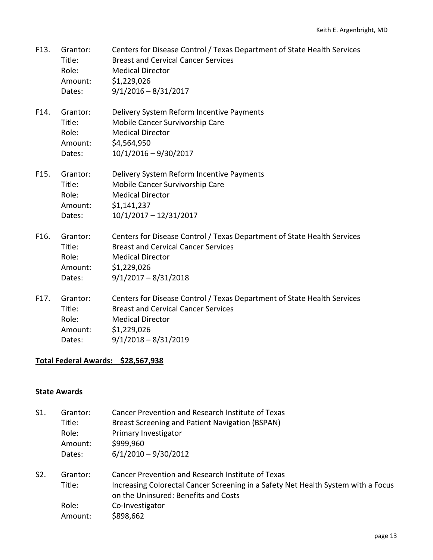| F13. | Grantor:<br>Title:<br>Role:<br>Amount:<br>Dates: | Centers for Disease Control / Texas Department of State Health Services<br><b>Breast and Cervical Cancer Services</b><br><b>Medical Director</b><br>\$1,229,026<br>$9/1/2016 - 8/31/2017$ |
|------|--------------------------------------------------|-------------------------------------------------------------------------------------------------------------------------------------------------------------------------------------------|
| F14. | Grantor:<br>Title:<br>Role:<br>Amount:<br>Dates: | Delivery System Reform Incentive Payments<br>Mobile Cancer Survivorship Care<br><b>Medical Director</b><br>\$4,564,950<br>$10/1/2016 - 9/30/2017$                                         |
| F15. | Grantor:<br>Title:<br>Role:<br>Amount:<br>Dates: | Delivery System Reform Incentive Payments<br>Mobile Cancer Survivorship Care<br><b>Medical Director</b><br>\$1,141,237<br>$10/1/2017 - 12/31/2017$                                        |
| F16. | Grantor:<br>Title:<br>Role:<br>Amount:<br>Dates: | Centers for Disease Control / Texas Department of State Health Services<br><b>Breast and Cervical Cancer Services</b><br><b>Medical Director</b><br>\$1,229,026<br>$9/1/2017 - 8/31/2018$ |
| F17. | Grantor:<br>Title:                               | Centers for Disease Control / Texas Department of State Health Services<br><b>Breast and Cervical Cancer Services</b>                                                                     |

- Role: Medical Director Amount: \$1,229,026
- Dates: 9/1/2018 8/31/2019

## **Total Federal Awards: \$28,567,938**

## **State Awards**

- S1. Grantor: Cancer Prevention and Research Institute of Texas Title: Breast Screening and Patient Navigation (BSPAN) Role: Primary Investigator Amount: \$999,960 Dates: 6/1/2010 – 9/30/2012
- S2. Grantor: Cancer Prevention and Research Institute of Texas Title: Increasing Colorectal Cancer Screening in a Safety Net Health System with a Focus on the Uninsured: Benefits and Costs Role: Co-Investigator Amount: \$898,662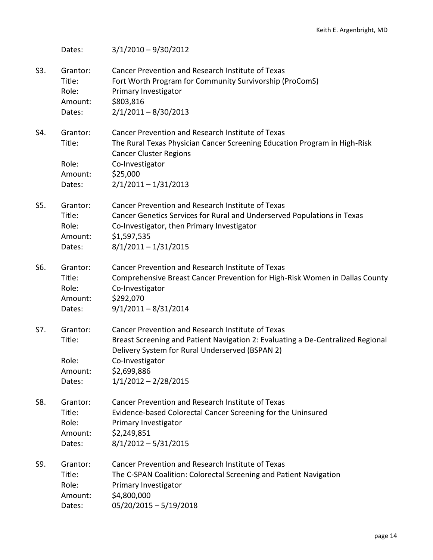Dates: 3/1/2010 – 9/30/2012 S3. Grantor: Cancer Prevention and Research Institute of Texas Title: Fort Worth Program for Community Survivorship (ProComS) Role: Primary Investigator Amount: \$803,816 Dates: 2/1/2011 – 8/30/2013 S4. Grantor: Cancer Prevention and Research Institute of Texas Title: The Rural Texas Physician Cancer Screening Education Program in High-Risk Cancer Cluster Regions Role: Co-Investigator Amount: \$25,000 Dates: 2/1/2011 – 1/31/2013 S5. Grantor: Cancer Prevention and Research Institute of Texas Title: Cancer Genetics Services for Rural and Underserved Populations in Texas Role: Co-Investigator, then Primary Investigator Amount: \$1,597,535 Dates: 8/1/2011 – 1/31/2015 S6. Grantor: Cancer Prevention and Research Institute of Texas Title: Comprehensive Breast Cancer Prevention for High-Risk Women in Dallas County Role: Co-Investigator Amount: \$292,070 Dates: 9/1/2011 – 8/31/2014 S7. Grantor: Cancer Prevention and Research Institute of Texas Title: Breast Screening and Patient Navigation 2: Evaluating a De-Centralized Regional Delivery System for Rural Underserved (BSPAN 2) Role: Co-Investigator Amount: \$2,699,886 Dates: 1/1/2012 – 2/28/2015 S8. Grantor: Cancer Prevention and Research Institute of Texas Title: Evidence-based Colorectal Cancer Screening for the Uninsured Role: Primary Investigator Amount: \$2,249,851 Dates: 8/1/2012 – 5/31/2015 S9. Grantor: Cancer Prevention and Research Institute of Texas Title: The C-SPAN Coalition: Colorectal Screening and Patient Navigation Role: Primary Investigator Amount: \$4,800,000 Dates: 05/20/2015 – 5/19/2018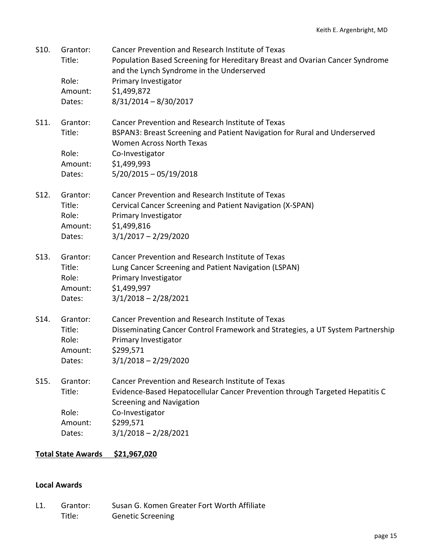| S10.    | Grantor:<br>Title:<br>Role:<br>Amount:<br>Dates: | Cancer Prevention and Research Institute of Texas<br>Population Based Screening for Hereditary Breast and Ovarian Cancer Syndrome<br>and the Lynch Syndrome in the Underserved<br>Primary Investigator<br>\$1,499,872<br>$8/31/2014 - 8/30/2017$ |
|---------|--------------------------------------------------|--------------------------------------------------------------------------------------------------------------------------------------------------------------------------------------------------------------------------------------------------|
| S11.    | Grantor:<br>Title:<br>Role:<br>Amount:<br>Dates: | Cancer Prevention and Research Institute of Texas<br>BSPAN3: Breast Screening and Patient Navigation for Rural and Underserved<br>Women Across North Texas<br>Co-Investigator<br>\$1,499,993<br>$5/20/2015 - 05/19/2018$                         |
| $S12$ . | Grantor:<br>Title:<br>Role:<br>Amount:<br>Dates: | Cancer Prevention and Research Institute of Texas<br>Cervical Cancer Screening and Patient Navigation (X-SPAN)<br>Primary Investigator<br>\$1,499,816<br>$3/1/2017 - 2/29/2020$                                                                  |
| S13.    | Grantor:<br>Title:<br>Role:<br>Amount:<br>Dates: | Cancer Prevention and Research Institute of Texas<br>Lung Cancer Screening and Patient Navigation (LSPAN)<br>Primary Investigator<br>\$1,499,997<br>$3/1/2018 - 2/28/2021$                                                                       |
| S14.    | Grantor:<br>Title:<br>Role:<br>Amount:<br>Dates: | Cancer Prevention and Research Institute of Texas<br>Disseminating Cancer Control Framework and Strategies, a UT System Partnership<br>Primary Investigator<br>\$299,571<br>$3/1/2018 - 2/29/2020$                                               |
| S15.    | Grantor:<br>Title:<br>Role:<br>Amount:<br>Dates: | Cancer Prevention and Research Institute of Texas<br>Evidence-Based Hepatocellular Cancer Prevention through Targeted Hepatitis C<br><b>Screening and Navigation</b><br>Co-Investigator<br>\$299,571<br>$3/1/2018 - 2/28/2021$                   |

# **Total State Awards \$21,967,020**

#### **Local Awards**

L1. Grantor: Susan G. Komen Greater Fort Worth Affiliate Title: Genetic Screening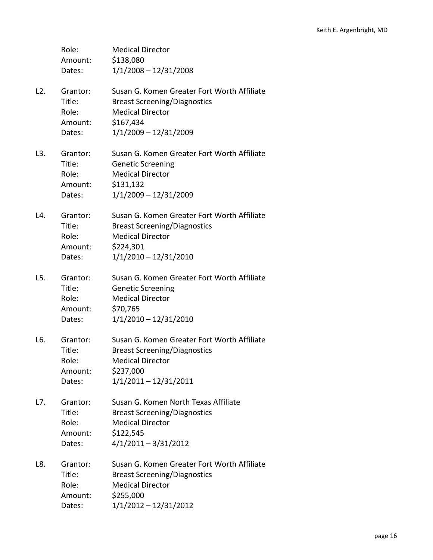|     | Role:<br>Amount:<br>Dates:                       | <b>Medical Director</b><br>\$138,080<br>$1/1/2008 - 12/31/2008$                                                                                       |
|-----|--------------------------------------------------|-------------------------------------------------------------------------------------------------------------------------------------------------------|
| L2. | Grantor:<br>Title:<br>Role:<br>Amount:<br>Dates: | Susan G. Komen Greater Fort Worth Affiliate<br><b>Breast Screening/Diagnostics</b><br><b>Medical Director</b><br>\$167,434<br>$1/1/2009 - 12/31/2009$ |
| L3. | Grantor:<br>Title:<br>Role:<br>Amount:<br>Dates: | Susan G. Komen Greater Fort Worth Affiliate<br><b>Genetic Screening</b><br><b>Medical Director</b><br>\$131,132<br>$1/1/2009 - 12/31/2009$            |
| L4. | Grantor:<br>Title:<br>Role:<br>Amount:<br>Dates: | Susan G. Komen Greater Fort Worth Affiliate<br><b>Breast Screening/Diagnostics</b><br><b>Medical Director</b><br>\$224,301<br>1/1/2010 - 12/31/2010   |
| L5. | Grantor:<br>Title:<br>Role:<br>Amount:<br>Dates: | Susan G. Komen Greater Fort Worth Affiliate<br><b>Genetic Screening</b><br><b>Medical Director</b><br>\$70,765<br>$1/1/2010 - 12/31/2010$             |
| L6. | Grantor:<br>Title:<br>Role:<br>Amount:<br>Dates: | Susan G. Komen Greater Fort Worth Affiliate<br><b>Breast Screening/Diagnostics</b><br><b>Medical Director</b><br>\$237,000<br>$1/1/2011 - 12/31/2011$ |
| L7. | Grantor:<br>Title:<br>Role:<br>Amount:<br>Dates: | Susan G. Komen North Texas Affiliate<br><b>Breast Screening/Diagnostics</b><br><b>Medical Director</b><br>\$122,545<br>$4/1/2011 - 3/31/2012$         |
| L8. | Grantor:<br>Title:<br>Role:<br>Amount:<br>Dates: | Susan G. Komen Greater Fort Worth Affiliate<br><b>Breast Screening/Diagnostics</b><br><b>Medical Director</b><br>\$255,000<br>$1/1/2012 - 12/31/2012$ |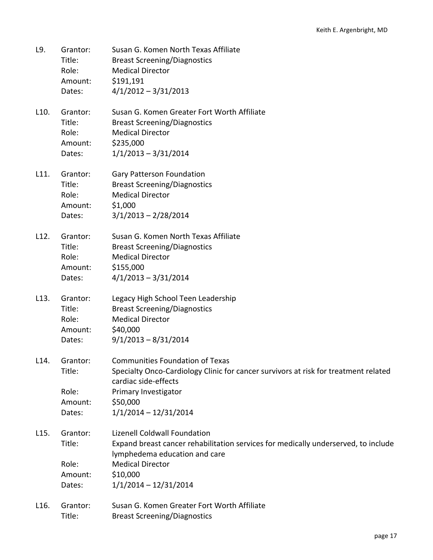| Grantor: | Susan G. Komen North Texas Affiliate |
|----------|--------------------------------------|
| Title:   | <b>Breast Screening/Diagnostics</b>  |
| Role:    | <b>Medical Director</b>              |
| Amount:  | \$191,191                            |
| Dates:   | $4/1/2012 - 3/31/2013$               |
|          |                                      |

L10. Grantor: Susan G. Komen Greater Fort Worth Affiliate Title: Breast Screening/Diagnostics Role: Medical Director Amount: \$235,000 Dates: 1/1/2013 – 3/31/2014

L11. Grantor: Gary Patterson Foundation Title: Breast Screening/Diagnostics Role: Medical Director Amount: \$1,000 Dates: 3/1/2013 – 2/28/2014

| L12. | Grantor: | Susan G. Komen North Texas Affiliate |
|------|----------|--------------------------------------|
|      | Title:   | <b>Breast Screening/Diagnostics</b>  |
|      | Role:    | <b>Medical Director</b>              |
|      | Amount:  | \$155,000                            |
|      | Dates:   | $4/1/2013 - 3/31/2014$               |

- L13. Grantor: Legacy High School Teen Leadership Title: Breast Screening/Diagnostics Role: Medical Director Amount: \$40,000 Dates: 9/1/2013 – 8/31/2014
- L14. Grantor: Communities Foundation of Texas Title: Specialty Onco-Cardiology Clinic for cancer survivors at risk for treatment related cardiac side-effects Role: Primary Investigator Amount: \$50,000 Dates: 1/1/2014 – 12/31/2014
- L15. Grantor: Lizenell Coldwall Foundation Title: Expand breast cancer rehabilitation services for medically underserved, to include lymphedema education and care Role: Medical Director Amount: \$10,000 Dates: 1/1/2014 – 12/31/2014
- L16. Grantor: Susan G. Komen Greater Fort Worth Affiliate Title: Breast Screening/Diagnostics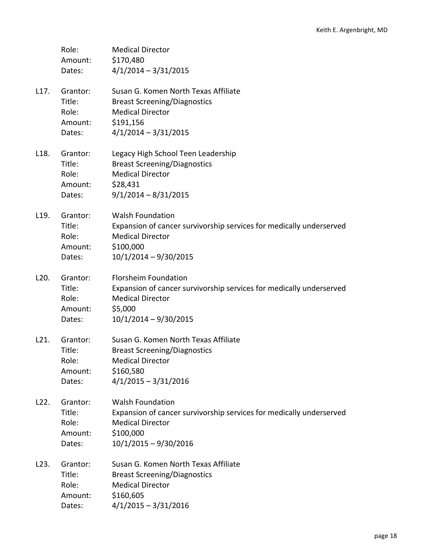|                   | Role:<br>Amount:<br>Dates:                       | <b>Medical Director</b><br>\$170,480<br>$4/1/2014 - 3/31/2015$                                                                                                      |
|-------------------|--------------------------------------------------|---------------------------------------------------------------------------------------------------------------------------------------------------------------------|
| L17.              | Grantor:<br>Title:<br>Role:<br>Amount:<br>Dates: | Susan G. Komen North Texas Affiliate<br><b>Breast Screening/Diagnostics</b><br><b>Medical Director</b><br>\$191,156<br>$4/1/2014 - 3/31/2015$                       |
| L <sub>18</sub> . | Grantor:<br>Title:<br>Role:<br>Amount:<br>Dates: | Legacy High School Teen Leadership<br><b>Breast Screening/Diagnostics</b><br><b>Medical Director</b><br>\$28,431<br>$9/1/2014 - 8/31/2015$                          |
| L <sub>19</sub> . | Grantor:<br>Title:<br>Role:<br>Amount:<br>Dates: | <b>Walsh Foundation</b><br>Expansion of cancer survivorship services for medically underserved<br><b>Medical Director</b><br>\$100,000<br>$10/1/2014 - 9/30/2015$   |
| L <sub>20</sub> . | Grantor:<br>Title:<br>Role:<br>Amount:<br>Dates: | <b>Florsheim Foundation</b><br>Expansion of cancer survivorship services for medically underserved<br><b>Medical Director</b><br>\$5,000<br>$10/1/2014 - 9/30/2015$ |
| L21.              | Grantor:<br>Title:<br>Role:<br>Amount:<br>Dates: | Susan G. Komen North Texas Affiliate<br><b>Breast Screening/Diagnostics</b><br><b>Medical Director</b><br>\$160,580<br>$4/1/2015 - 3/31/2016$                       |
| L22.              | Grantor:<br>Title:<br>Role:<br>Amount:<br>Dates: | <b>Walsh Foundation</b><br>Expansion of cancer survivorship services for medically underserved<br><b>Medical Director</b><br>\$100,000<br>10/1/2015 - 9/30/2016     |
| L23.              | Grantor:<br>Title:<br>Role:<br>Amount:<br>Dates: | Susan G. Komen North Texas Affiliate<br><b>Breast Screening/Diagnostics</b><br><b>Medical Director</b><br>\$160,605<br>$4/1/2015 - 3/31/2016$                       |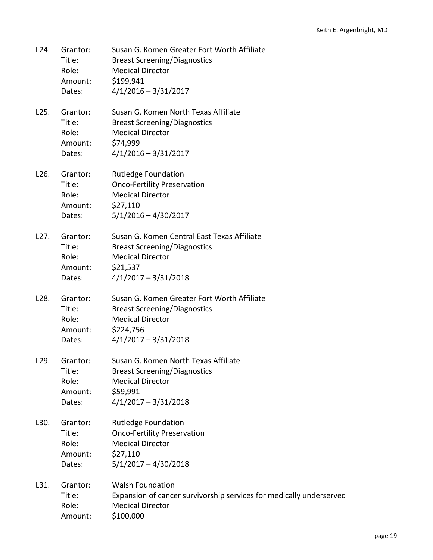| L24. | Grantor:<br>Title:<br>Role:<br>Amount:<br>Dates: | Susan G. Komen Greater Fort Worth Affiliate<br><b>Breast Screening/Diagnostics</b><br><b>Medical Director</b><br>\$199,941<br>$4/1/2016 - 3/31/2017$ |
|------|--------------------------------------------------|------------------------------------------------------------------------------------------------------------------------------------------------------|
| L25. | Grantor:<br>Title:<br>Role:<br>Amount:<br>Dates: | Susan G. Komen North Texas Affiliate<br><b>Breast Screening/Diagnostics</b><br><b>Medical Director</b><br>\$74,999<br>$4/1/2016 - 3/31/2017$         |
| L26. | Grantor:<br>Title:<br>Role:<br>Amount:<br>Dates: | <b>Rutledge Foundation</b><br><b>Onco-Fertility Preservation</b><br><b>Medical Director</b><br>\$27,110<br>$5/1/2016 - 4/30/2017$                    |
| L27. | Grantor:<br>Title:<br>Role:<br>Amount:<br>Dates: | Susan G. Komen Central East Texas Affiliate<br><b>Breast Screening/Diagnostics</b><br><b>Medical Director</b><br>\$21,537<br>$4/1/2017 - 3/31/2018$  |
| L28. | Grantor:<br>Title:<br>Role:<br>Amount:<br>Dates: | Susan G. Komen Greater Fort Worth Affiliate<br><b>Breast Screening/Diagnostics</b><br><b>Medical Director</b><br>\$224,756<br>$4/1/2017 - 3/31/2018$ |
| L29. | Grantor:<br>Title:<br>Role:<br>Amount:<br>Dates: | Susan G. Komen North Texas Affiliate<br><b>Breast Screening/Diagnostics</b><br><b>Medical Director</b><br>\$59,991<br>$4/1/2017 - 3/31/2018$         |
| L30. | Grantor:<br>Title:<br>Role:<br>Amount:<br>Dates: | <b>Rutledge Foundation</b><br><b>Onco-Fertility Preservation</b><br><b>Medical Director</b><br>\$27,110<br>$5/1/2017 - 4/30/2018$                    |
| L31. | Grantor:<br>Title:<br>Role:<br>Amount:           | <b>Walsh Foundation</b><br>Expansion of cancer survivorship services for medically underserved<br><b>Medical Director</b><br>\$100,000               |